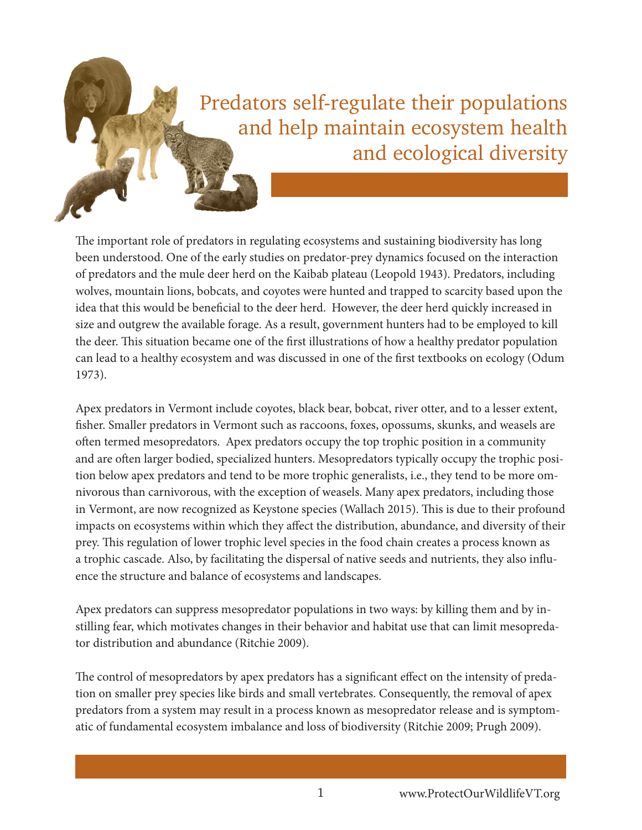# Predators self-regulate their populations and help maintain ecosystem health and ecological diversity

The important role of predators in regulating ecosystems and sustaining biodiversity has long been understood. One of the early studies on predator-prey dynamics focused on the interaction of predators and the mule deer herd on the Kaibab plateau (Leopold 1943). Predators, including wolves, mountain lions, bobcats, and coyotes were hunted and trapped to scarcity based upon the idea that this would be beneficial to the deer herd. However, the deer herd quickly increased in size and outgrew the available forage. As a result, government hunters had to be employed to kill the deer. This situation became one of the first illustrations of how a healthy predator population can lead to a healthy ecosystem and was discussed in one of the first textbooks on ecology (Odum 1973).

Apex predators in Vermont include coyotes, black bear, bobcat, river otter, and to a lesser extent, fisher. Smaller predators in Vermont such as raccoons, foxes, opossums, skunks, and weasels are often termed mesopredators. Apex predators occupy the top trophic position in a community and are often larger bodied, specialized hunters. Mesopredators typically occupy the trophic position below apex predators and tend to be more trophic generalists, i.e., they tend to be more omnivorous than carnivorous, with the exception of weasels. Many apex predators, including those in Vermont, are now recognized as Keystone species (Wallach 2015). This is due to their profound impacts on ecosystems within which they affect the distribution, abundance, and diversity of their prey. This regulation of lower trophic level species in the food chain creates a process known as a trophic cascade. Also, by facilitating the dispersal of native seeds and nutrients, they also influence the structure and balance of ecosystems and landscapes.

Apex predators can suppress mesopredator populations in two ways: by killing them and by instilling fear, which motivates changes in their behavior and habitat use that can limit mesopredator distribution and abundance (Ritchie 2009).

The control of mesopredators by apex predators has a significant effect on the intensity of predation on smaller prey species like birds and small vertebrates. Consequently, the removal of apex predators from a system may result in a process known as mesopredator release and is symptomatic of fundamental ecosystem imbalance and loss of biodiversity (Ritchie 2009; Prugh 2009).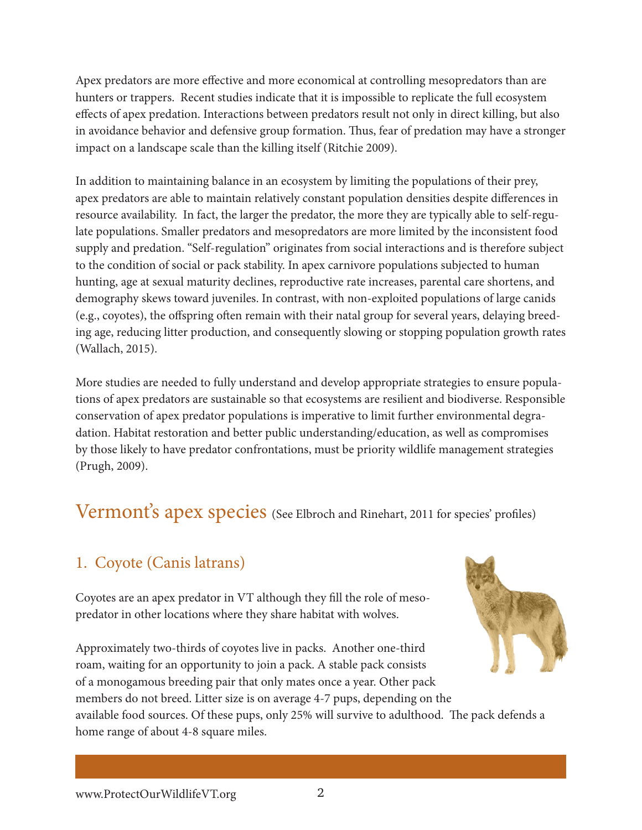Apex predators are more effective and more economical at controlling mesopredators than are hunters or trappers. Recent studies indicate that it is impossible to replicate the full ecosystem effects of apex predation. Interactions between predators result not only in direct killing, but also in avoidance behavior and defensive group formation. Thus, fear of predation may have a stronger impact on a landscape scale than the killing itself (Ritchie 2009).

In addition to maintaining balance in an ecosystem by limiting the populations of their prey, apex predators are able to maintain relatively constant population densities despite differences in resource availability. In fact, the larger the predator, the more they are typically able to self-regulate populations. Smaller predators and mesopredators are more limited by the inconsistent food supply and predation. "Self-regulation" originates from social interactions and is therefore subject to the condition of social or pack stability. In apex carnivore populations subjected to human hunting, age at sexual maturity declines, reproductive rate increases, parental care shortens, and demography skews toward juveniles. In contrast, with non-exploited populations of large canids (e.g., coyotes), the offspring often remain with their natal group for several years, delaying breeding age, reducing litter production, and consequently slowing or stopping population growth rates (Wallach, 2015).

More studies are needed to fully understand and develop appropriate strategies to ensure populations of apex predators are sustainable so that ecosystems are resilient and biodiverse. Responsible conservation of apex predator populations is imperative to limit further environmental degradation. Habitat restoration and better public understanding/education, as well as compromises by those likely to have predator confrontations, must be priority wildlife management strategies (Prugh, 2009).

# Vermont's apex species (See Elbroch and Rinehart, 2011 for species' profiles)

# 1. Coyote (Canis latrans)

Coyotes are an apex predator in VT although they fill the role of mesopredator in other locations where they share habitat with wolves.

Approximately two-thirds of coyotes live in packs. Another one-third roam, waiting for an opportunity to join a pack. A stable pack consists of a monogamous breeding pair that only mates once a year. Other pack members do not breed. Litter size is on average 4-7 pups, depending on the

available food sources. Of these pups, only 25% will survive to adulthood. The pack defends a home range of about 4-8 square miles.



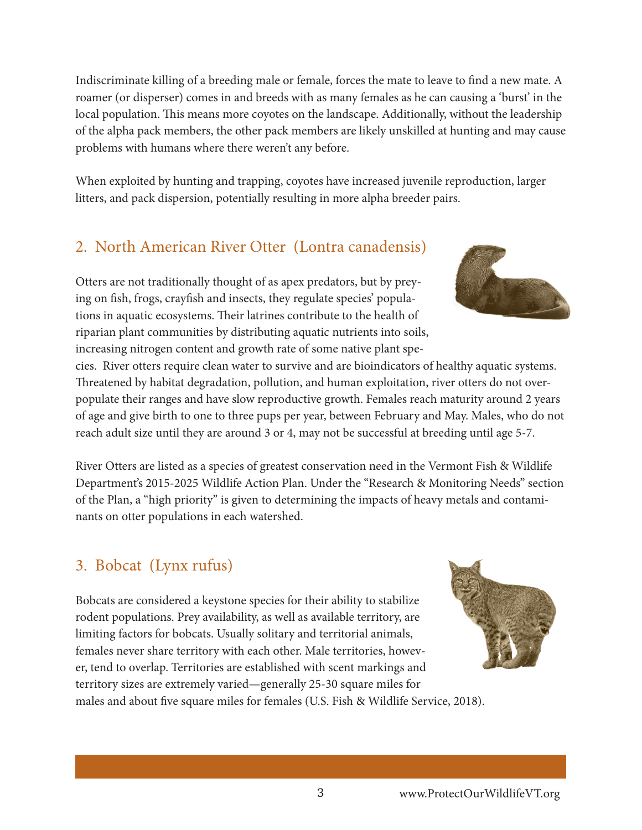Indiscriminate killing of a breeding male or female, forces the mate to leave to find a new mate. A roamer (or disperser) comes in and breeds with as many females as he can causing a 'burst' in the local population. This means more coyotes on the landscape. Additionally, without the leadership of the alpha pack members, the other pack members are likely unskilled at hunting and may cause problems with humans where there weren't any before.

When exploited by hunting and trapping, coyotes have increased juvenile reproduction, larger litters, and pack dispersion, potentially resulting in more alpha breeder pairs.

## 2. North American River Otter (Lontra canadensis)

Otters are not traditionally thought of as apex predators, but by preying on fish, frogs, crayfish and insects, they regulate species' populations in aquatic ecosystems. Their latrines contribute to the health of riparian plant communities by distributing aquatic nutrients into soils, increasing nitrogen content and growth rate of some native plant spe-

cies. River otters require clean water to survive and are bioindicators of healthy aquatic systems. Threatened by habitat degradation, pollution, and human exploitation, river otters do not overpopulate their ranges and have slow reproductive growth. Females reach maturity around 2 years of age and give birth to one to three pups per year, between February and May. Males, who do not reach adult size until they are around 3 or 4, may not be successful at breeding until age 5-7.

River Otters are listed as a species of greatest conservation need in the Vermont Fish & Wildlife Department's 2015-2025 Wildlife Action Plan. Under the "Research & Monitoring Needs" section of the Plan, a "high priority" is given to determining the impacts of heavy metals and contaminants on otter populations in each watershed.

## 3. Bobcat (Lynx rufus)

Bobcats are considered a keystone species for their ability to stabilize rodent populations. Prey availability, as well as available territory, are limiting factors for bobcats. Usually solitary and territorial animals, females never share territory with each other. Male territories, however, tend to overlap. Territories are established with scent markings and territory sizes are extremely varied—generally 25-30 square miles for males and about five square miles for females (U.S. Fish & Wildlife Service, 2018).



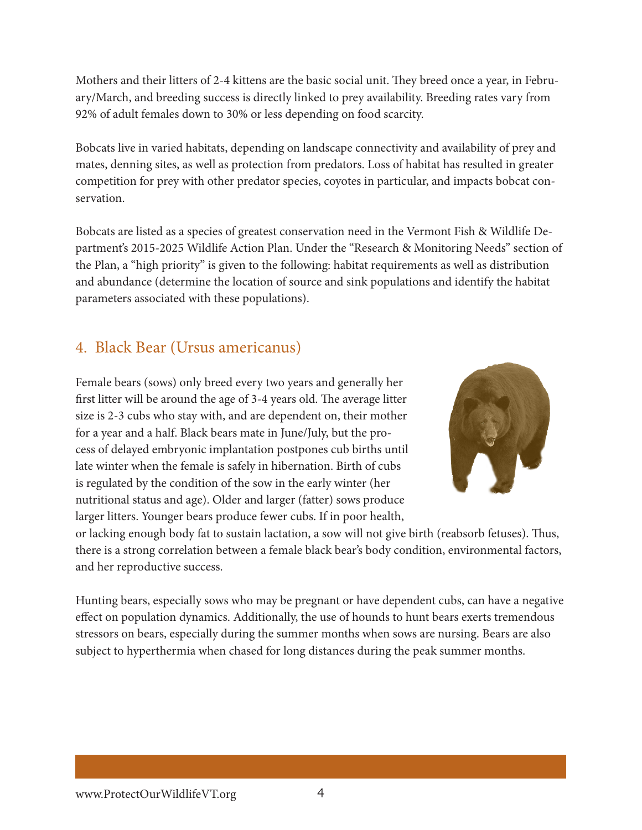Mothers and their litters of 2-4 kittens are the basic social unit. They breed once a year, in February/March, and breeding success is directly linked to prey availability. Breeding rates vary from 92% of adult females down to 30% or less depending on food scarcity.

Bobcats live in varied habitats, depending on landscape connectivity and availability of prey and mates, denning sites, as well as protection from predators. Loss of habitat has resulted in greater competition for prey with other predator species, coyotes in particular, and impacts bobcat conservation.

Bobcats are listed as a species of greatest conservation need in the Vermont Fish & Wildlife Department's 2015-2025 Wildlife Action Plan. Under the "Research & Monitoring Needs" section of the Plan, a "high priority" is given to the following: habitat requirements as well as distribution and abundance (determine the location of source and sink populations and identify the habitat parameters associated with these populations).

#### 4. Black Bear (Ursus americanus)

Female bears (sows) only breed every two years and generally her first litter will be around the age of 3-4 years old. The average litter size is 2-3 cubs who stay with, and are dependent on, their mother for a year and a half. Black bears mate in June/July, but the process of delayed embryonic implantation postpones cub births until late winter when the female is safely in hibernation. Birth of cubs is regulated by the condition of the sow in the early winter (her nutritional status and age). Older and larger (fatter) sows produce larger litters. Younger bears produce fewer cubs. If in poor health,



or lacking enough body fat to sustain lactation, a sow will not give birth (reabsorb fetuses). Thus, there is a strong correlation between a female black bear's body condition, environmental factors, and her reproductive success.

Hunting bears, especially sows who may be pregnant or have dependent cubs, can have a negative effect on population dynamics. Additionally, the use of hounds to hunt bears exerts tremendous stressors on bears, especially during the summer months when sows are nursing. Bears are also subject to hyperthermia when chased for long distances during the peak summer months.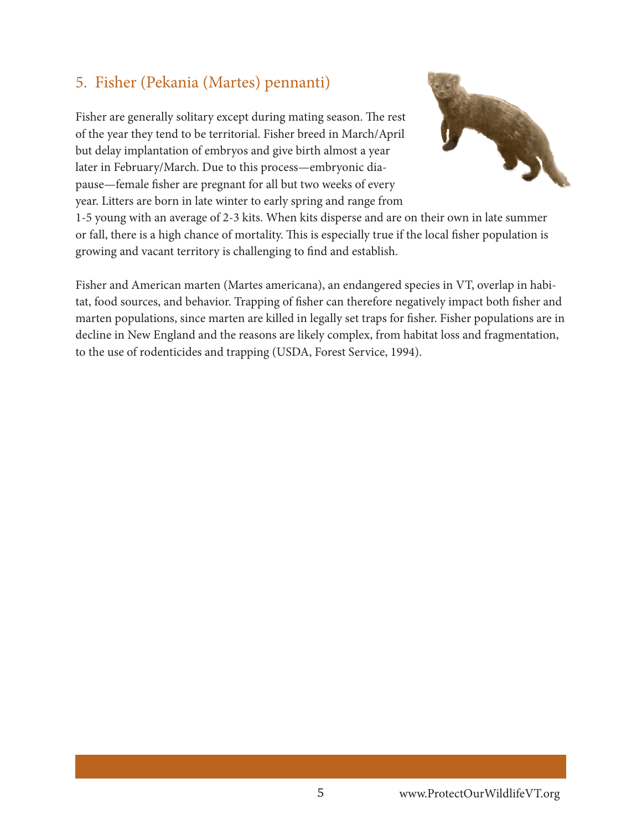#### 5. Fisher (Pekania (Martes) pennanti)

Fisher are generally solitary except during mating season. The rest of the year they tend to be territorial. Fisher breed in March/April but delay implantation of embryos and give birth almost a year later in February/March. Due to this process—embryonic diapause—female fisher are pregnant for all but two weeks of every year. Litters are born in late winter to early spring and range from



1-5 young with an average of 2-3 kits. When kits disperse and are on their own in late summer or fall, there is a high chance of mortality. This is especially true if the local fisher population is growing and vacant territory is challenging to find and establish.

Fisher and American marten (Martes americana), an endangered species in VT, overlap in habitat, food sources, and behavior. Trapping of fisher can therefore negatively impact both fisher and marten populations, since marten are killed in legally set traps for fisher. Fisher populations are in decline in New England and the reasons are likely complex, from habitat loss and fragmentation, to the use of rodenticides and trapping (USDA, Forest Service, 1994).